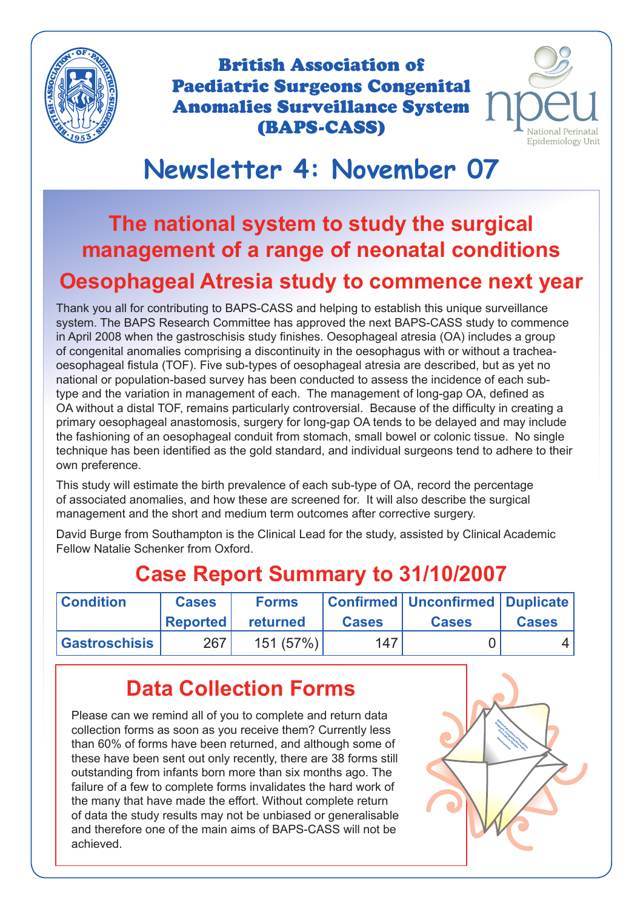

British Association of Paediatric Surgeons Congenital Anomalies Surveillance System (BAPS-CASS)



# **Newsletter 4: November 07**

# **The national system to study the surgical management of a range of neonatal conditions Oesophageal Atresia study to commence next year**

Thank you all for contributing to BAPS-CASS and helping to establish this unique surveillance system. The BAPS Research Committee has approved the next BAPS-CASS study to commence in April 2008 when the gastroschisis study finishes. Oesophageal atresia (OA) includes a group of congenital anomalies comprising a discontinuity in the oesophagus with or without a tracheaoesophageal fistula (TOF). Five sub-types of oesophageal atresia are described, but as yet no national or population-based survey has been conducted to assess the incidence of each subtype and the variation in management of each. The management of long-gap OA, defined as OA without a distal TOF, remains particularly controversial. Because of the difficulty in creating a primary oesophageal anastomosis, surgery for long-gap OA tends to be delayed and may include the fashioning of an oesophageal conduit from stomach, small bowel or colonic tissue. No single technique has been identified as the gold standard, and individual surgeons tend to adhere to their own preference.

This study will estimate the birth prevalence of each sub-type of OA, record the percentage of associated anomalies, and how these are screened for. It will also describe the surgical management and the short and medium term outcomes after corrective surgery.

David Burge from Southampton is the Clinical Lead for the study, assisted by Clinical Academic Fellow Natalie Schenker from Oxford.

| <b>Condition</b>     | <b>Cases</b><br><b>Reported</b> | <b>Forms</b><br>returned | <b>Cases</b> | Confirmed   Unconfirmed   Duplicate  <br><b>Cases</b> | <b>Cases</b> |
|----------------------|---------------------------------|--------------------------|--------------|-------------------------------------------------------|--------------|
| <b>Gastroschisis</b> | 267                             | 151 (57%)                | 147          |                                                       |              |

## **Case Report Summary to 31/10/2007**

## **Data Collection Forms**

Please can we remind all of you to complete and return data collection forms as soon as you receive them? Currently less than 60% of forms have been returned, and although some of these have been sent out only recently, there are 38 forms still outstanding from infants born more than six months ago. The failure of a few to complete forms invalidates the hard work of the many that have made the effort. Without complete return of data the study results may not be unbiased or generalisable and therefore one of the main aims of BAPS-CASS will not be achieved.